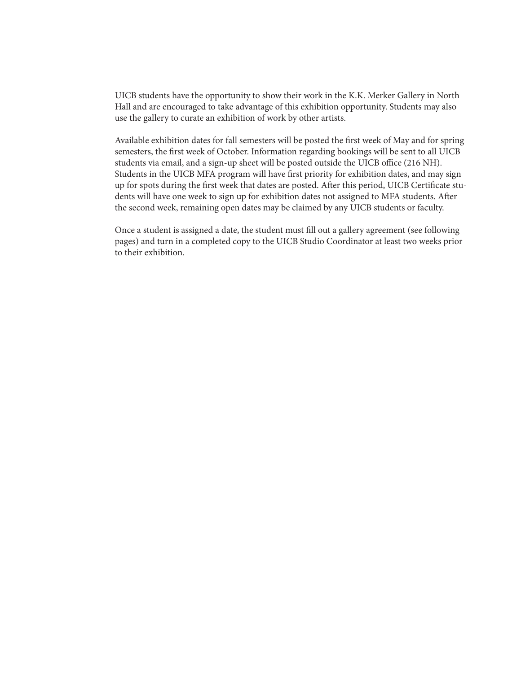UICB students have the opportunity to show their work in the K.K. Merker Gallery in North Hall and are encouraged to take advantage of this exhibition opportunity. Students may also use the gallery to curate an exhibition of work by other artists.

Available exhibition dates for fall semesters will be posted the first week of May and for spring semesters, the first week of October. Information regarding bookings will be sent to all UICB students via email, and a sign-up sheet will be posted outside the UICB office (216 NH). Students in the UICB MFA program will have first priority for exhibition dates, and may sign up for spots during the first week that dates are posted. After this period, UICB Certificate students will have one week to sign up for exhibition dates not assigned to MFA students. After the second week, remaining open dates may be claimed by any UICB students or faculty.

Once a student is assigned a date, the student must fill out a gallery agreement (see following pages) and turn in a completed copy to the UICB Studio Coordinator at least two weeks prior to their exhibition.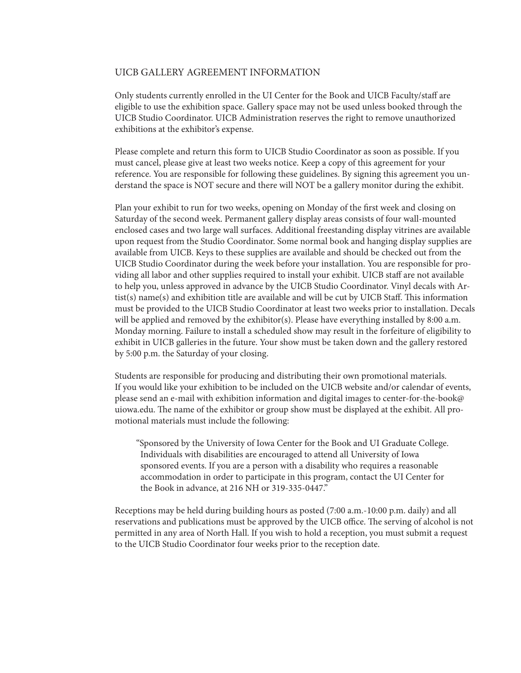### UICB GALLERY AGREEMENT INFORMATION

Only students currently enrolled in the UI Center for the Book and UICB Faculty/staff are eligible to use the exhibition space. Gallery space may not be used unless booked through the UICB Studio Coordinator. UICB Administration reserves the right to remove unauthorized exhibitions at the exhibitor's expense.

Please complete and return this form to UICB Studio Coordinator as soon as possible. If you must cancel, please give at least two weeks notice. Keep a copy of this agreement for your reference. You are responsible for following these guidelines. By signing this agreement you understand the space is NOT secure and there will NOT be a gallery monitor during the exhibit.

Plan your exhibit to run for two weeks, opening on Monday of the first week and closing on Saturday of the second week. Permanent gallery display areas consists of four wall-mounted enclosed cases and two large wall surfaces. Additional freestanding display vitrines are available upon request from the Studio Coordinator. Some normal book and hanging display supplies are available from UICB. Keys to these supplies are available and should be checked out from the UICB Studio Coordinator during the week before your installation. You are responsible for providing all labor and other supplies required to install your exhibit. UICB staff are not available to help you, unless approved in advance by the UICB Studio Coordinator. Vinyl decals with Artist(s) name(s) and exhibition title are available and will be cut by UICB Staff. This information must be provided to the UICB Studio Coordinator at least two weeks prior to installation. Decals will be applied and removed by the exhibitor(s). Please have everything installed by 8:00 a.m. Monday morning. Failure to install a scheduled show may result in the forfeiture of eligibility to exhibit in UICB galleries in the future. Your show must be taken down and the gallery restored by 5:00 p.m. the Saturday of your closing.

Students are responsible for producing and distributing their own promotional materials. If you would like your exhibition to be included on the UICB website and/or calendar of events, please send an e-mail with exhibition information and digital images to center-for-the-book@ uiowa.edu. The name of the exhibitor or group show must be displayed at the exhibit. All promotional materials must include the following:

"Sponsored by the University of Iowa Center for the Book and UI Graduate College. Individuals with disabilities are encouraged to attend all University of Iowa sponsored events. If you are a person with a disability who requires a reasonable accommodation in order to participate in this program, contact the UI Center for the Book in advance, at 216 NH or 319-335-0447."

Receptions may be held during building hours as posted (7:00 a.m.-10:00 p.m. daily) and all reservations and publications must be approved by the UICB office. The serving of alcohol is not permitted in any area of North Hall. If you wish to hold a reception, you must submit a request to the UICB Studio Coordinator four weeks prior to the reception date.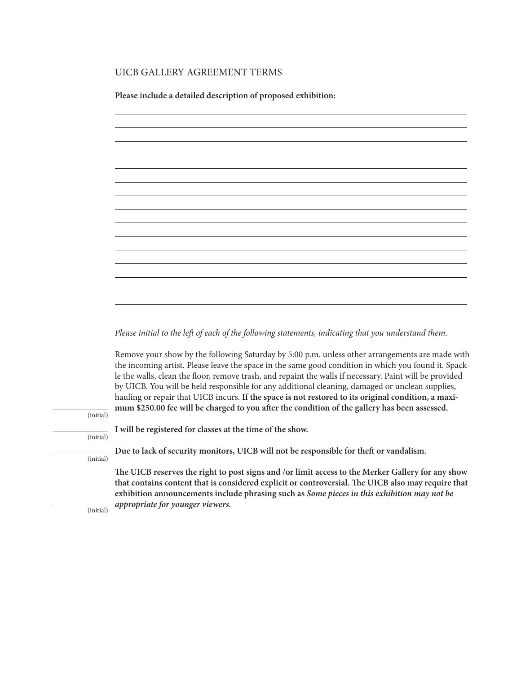## UICB GALLERY AGREEMENT TERMS

**Please include a detailed description of proposed exhibition:**



*Please initial to the left of each of the following statements, indicating that you understand them.*

Remove your show by the following Saturday by 5:00 p.m. unless other arrangements are made with the incoming artist. Please leave the space in the same good condition in which you found it. Spackle the walls, clean the floor, remove trash, and repaint the walls if necessary. Paint will be provided by UICB. You will be held responsible for any additional cleaning, damaged or unclean supplies, hauling or repair that UICB incurs. **If the space is not restored to its original condition, a maximum \$250.00 fee will be charged to you after the condition of the gallery has been assessed.** 

(initial)

(initial)

(initial)

**Due to lack of security monitors, UICB will not be responsible for theft or vandalism.** 

**I will be registered for classes at the time of the show.** 

**The UICB reserves the right to post signs and /or limit access to the Merker Gallery for any show that contains content that is considered explicit or controversial. The UICB also may require that exhibition announcements include phrasing such as** *Some pieces in this exhibition may not be appropriate for younger viewers.*

(initial)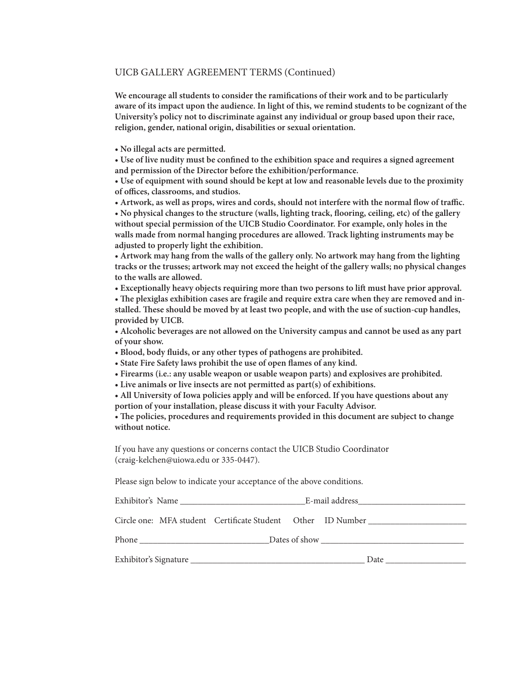#### UICB GALLERY AGREEMENT TERMS (Continued)

**We encourage all students to consider the ramifications of their work and to be particularly aware of its impact upon the audience. In light of this, we remind students to be cognizant of the University's policy not to discriminate against any individual or group based upon their race, religion, gender, national origin, disabilities or sexual orientation.** 

**• No illegal acts are permitted.**

**• Use of live nudity must be confined to the exhibition space and requires a signed agreement and permission of the Director before the exhibition/performance.**

**• Use of equipment with sound should be kept at low and reasonable levels due to the proximity of offices, classrooms, and studios.**

**• Artwork, as well as props, wires and cords, should not interfere with the normal flow of traffic. • No physical changes to the structure (walls, lighting track, flooring, ceiling, etc) of the gallery without special permission of the UICB Studio Coordinator. For example, only holes in the walls made from normal hanging procedures are allowed. Track lighting instruments may be adjusted to properly light the exhibition.**

**• Artwork may hang from the walls of the gallery only. No artwork may hang from the lighting tracks or the trusses; artwork may not exceed the height of the gallery walls; no physical changes to the walls are allowed.**

**• Exceptionally heavy objects requiring more than two persons to lift must have prior approval.**

**• The plexiglas exhibition cases are fragile and require extra care when they are removed and installed. These should be moved by at least two people, and with the use of suction-cup handles, provided by UICB.**

**• Alcoholic beverages are not allowed on the University campus and cannot be used as any part of your show.**

**• Blood, body fluids, or any other types of pathogens are prohibited.**

**• State Fire Safety laws prohibit the use of open flames of any kind.**

**• Firearms (i.e.: any usable weapon or usable weapon parts) and explosives are prohibited.**

**• Live animals or live insects are not permitted as part(s) of exhibitions.**

**• All University of Iowa policies apply and will be enforced. If you have questions about any portion of your installation, please discuss it with your Faculty Advisor.**

**• The policies, procedures and requirements provided in this document are subject to change without notice.**

If you have any questions or concerns contact the UICB Studio Coordinator (craig-kelchen@uiowa.edu or 335-0447).

Please sign below to indicate your acceptance of the above conditions.

|                                                                | E-mail address and the mail and the set of the set of the set of the set of the set of the set of the set of the set of the set of the set of the set of the set of the set of the set of the set of the set of the set of the |  |      |  |
|----------------------------------------------------------------|--------------------------------------------------------------------------------------------------------------------------------------------------------------------------------------------------------------------------------|--|------|--|
| Circle one: MFA student  Certificate Student  Other  ID Number |                                                                                                                                                                                                                                |  |      |  |
|                                                                | Phone<br>Dates of show                                                                                                                                                                                                         |  |      |  |
| Exhibitor's Signature _                                        |                                                                                                                                                                                                                                |  | Date |  |